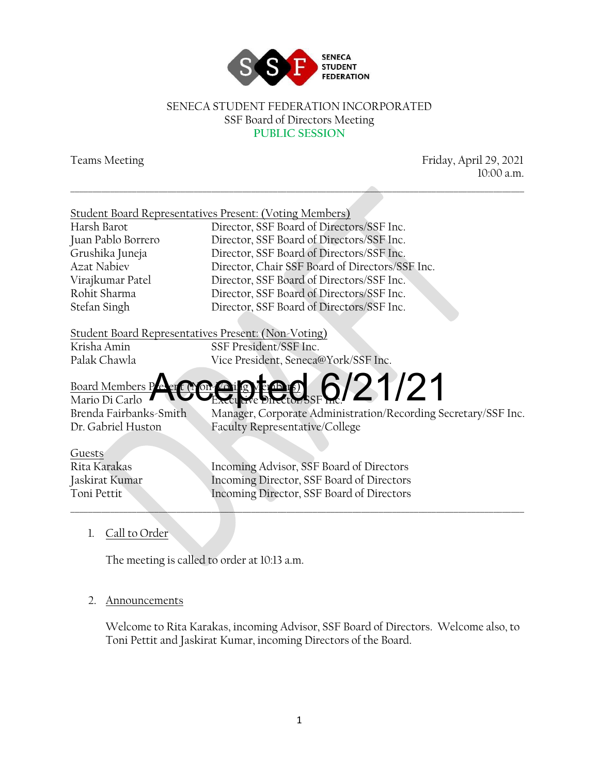

#### SENECA STUDENT FEDERATION INCORPORATED SSF Board of Directors Meeting **PUBLIC SESSION**

\_\_\_\_\_\_\_\_\_\_\_\_\_\_\_\_\_\_\_\_\_\_\_\_\_\_\_\_\_\_\_\_\_\_\_\_\_\_\_\_\_\_\_\_\_\_\_\_\_\_\_\_\_\_\_\_\_\_\_\_\_\_\_\_\_\_\_\_\_\_\_\_\_\_\_\_\_\_\_\_\_\_\_\_\_\_\_\_\_\_\_\_\_\_\_\_\_\_\_\_\_\_\_

Teams Meeting Friday, April 29, 2021 10:00 a.m.

#### Student Board Representatives Present: (Voting Members)

Harsh Barot Director, SSF Board of Directors/SSF Inc. Juan Pablo Borrero Director, SSF Board of Directors/SSF Inc. Grushika Juneja Director, SSF Board of Directors/SSF Inc. Azat Nabiev Director, Chair SSF Board of Directors/SSF Inc. Virajkumar Patel Director, SSF Board of Directors/SSF Inc. Rohit Sharma Director, SSF Board of Directors/SSF Inc. Stefan Singh Director, SSF Board of Directors/SSF Inc.

#### Student Board Representatives Present: (Non-Voting)

Krisha Amin SSF President/SSF Inc. Palak Chawla Vice President, Seneca@York/SSF Inc.

#### Board Members Peert (Non-Voir Ig Member Mario Di Carlo  $\dot{\rm g}$ /21/21

Brenda Fairbanks-Smith Manager, Corporate Administration/Recording Secretary/SSF Inc. Dr. Gabriel Huston Faculty Representative/College

# Guests

Rita Karakas Incoming Advisor, SSF Board of Directors Jaskirat Kumar Incoming Director, SSF Board of Directors Toni Pettit Incoming Director, SSF Board of Directors

\_\_\_\_\_\_\_\_\_\_\_\_\_\_\_\_\_\_\_\_\_\_\_\_\_\_\_\_\_\_\_\_\_\_\_\_\_\_\_\_\_\_\_\_\_\_\_\_\_\_\_\_\_\_\_\_\_\_\_\_\_\_\_\_\_\_\_\_\_\_\_\_\_\_\_\_\_\_\_\_\_\_\_\_\_\_\_\_\_\_\_\_\_\_\_\_\_\_\_\_\_\_\_

1. Call to Order

The meeting is called to order at 10:13 a.m.

#### 2. Announcements

Welcome to Rita Karakas, incoming Advisor, SSF Board of Directors. Welcome also, to Toni Pettit and Jaskirat Kumar, incoming Directors of the Board.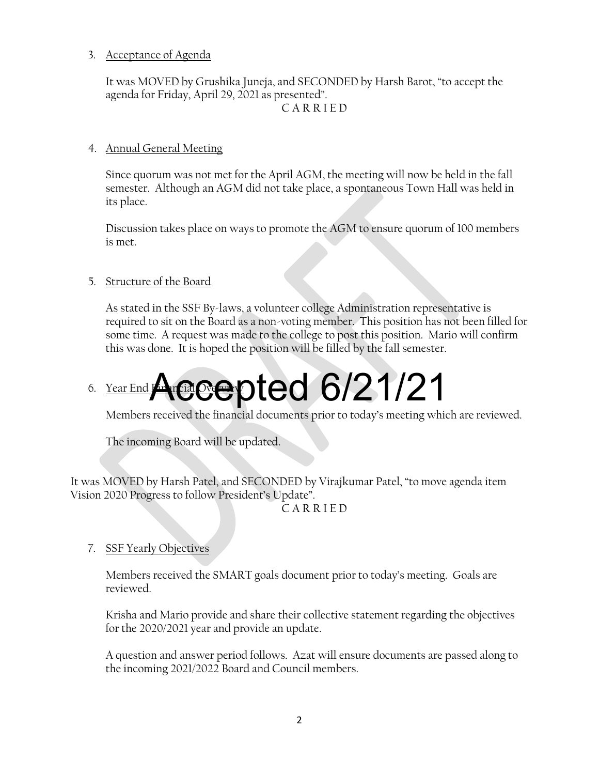#### 3. Acceptance of Agenda

It was MOVED by Grushika Juneja, and SECONDED by Harsh Barot, "to accept the agenda for Friday, April 29, 2021 as presented". C A R R I E D

#### 4. Annual General Meeting

Since quorum was not met for the April AGM, the meeting will now be held in the fall semester. Although an AGM did not take place, a spontaneous Town Hall was held in its place.

Discussion takes place on ways to promote the AGM to ensure quorum of 100 members is met.

#### 5. Structure of the Board

As stated in the SSF By-laws, a volunteer college Administration representative is required to sit on the Board as a non-voting member. This position has not been filled for some time. A request was made to the college to post this position. Mario will confirm this was done. It is hoped the position will be filled by the fall semester.

### 6. Year End Financial Overside Accepted 6/21/21

Members received the financial documents prior to today's meeting which are reviewed.

The incoming Board will be updated.

It was MOVED by Harsh Patel, and SECONDED by Virajkumar Patel, "to move agenda item Vision 2020 Progress to follow President's Update".

#### C A R R I E D

#### 7. SSF Yearly Objectives

Members received the SMART goals document prior to today's meeting. Goals are reviewed.

Krisha and Mario provide and share their collective statement regarding the objectives for the 2020/2021 year and provide an update.

A question and answer period follows. Azat will ensure documents are passed along to the incoming 2021/2022 Board and Council members.